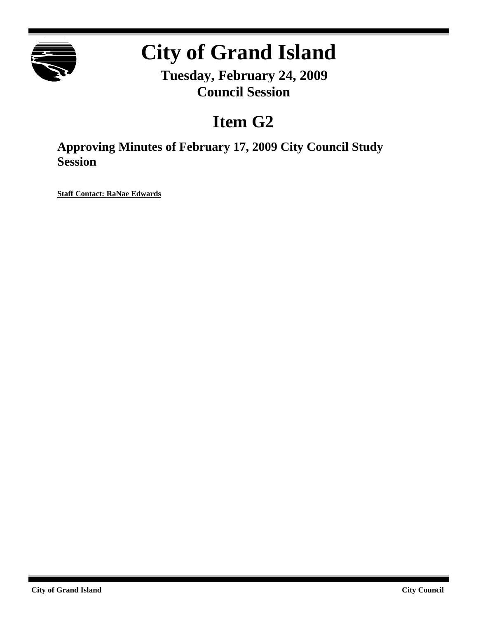

## **City of Grand Island**

**Tuesday, February 24, 2009 Council Session**

## **Item G2**

**Approving Minutes of February 17, 2009 City Council Study Session**

**Staff Contact: RaNae Edwards**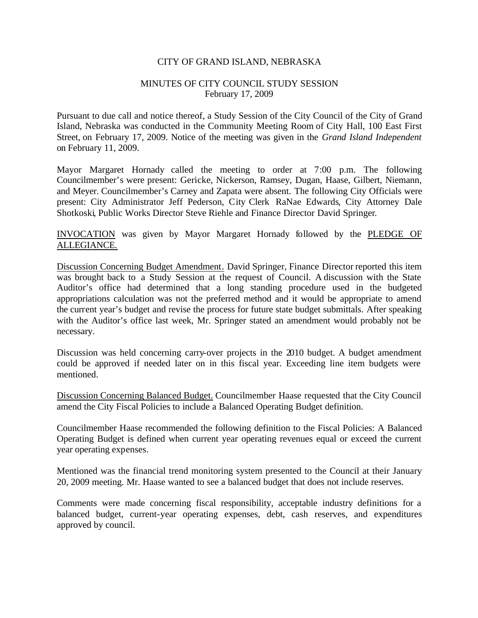## CITY OF GRAND ISLAND, NEBRASKA

## MINUTES OF CITY COUNCIL STUDY SESSION February 17, 2009

Pursuant to due call and notice thereof, a Study Session of the City Council of the City of Grand Island, Nebraska was conducted in the Community Meeting Room of City Hall, 100 East First Street, on February 17, 2009. Notice of the meeting was given in the *Grand Island Independent* on February 11, 2009.

Mayor Margaret Hornady called the meeting to order at 7:00 p.m. The following Councilmember's were present: Gericke, Nickerson, Ramsey, Dugan, Haase, Gilbert, Niemann, and Meyer. Councilmember's Carney and Zapata were absent. The following City Officials were present: City Administrator Jeff Pederson, City Clerk RaNae Edwards, City Attorney Dale Shotkoski, Public Works Director Steve Riehle and Finance Director David Springer.

INVOCATION was given by Mayor Margaret Hornady followed by the PLEDGE OF ALLEGIANCE.

Discussion Concerning Budget Amendment. David Springer, Finance Director reported this item was brought back to a Study Session at the request of Council. A discussion with the State Auditor's office had determined that a long standing procedure used in the budgeted appropriations calculation was not the preferred method and it would be appropriate to amend the current year's budget and revise the process for future state budget submittals. After speaking with the Auditor's office last week, Mr. Springer stated an amendment would probably not be necessary.

Discussion was held concerning carry-over projects in the 2010 budget. A budget amendment could be approved if needed later on in this fiscal year. Exceeding line item budgets were mentioned.

Discussion Concerning Balanced Budget. Councilmember Haase requested that the City Council amend the City Fiscal Policies to include a Balanced Operating Budget definition.

Councilmember Haase recommended the following definition to the Fiscal Policies: A Balanced Operating Budget is defined when current year operating revenues equal or exceed the current year operating expenses.

Mentioned was the financial trend monitoring system presented to the Council at their January 20, 2009 meeting. Mr. Haase wanted to see a balanced budget that does not include reserves.

Comments were made concerning fiscal responsibility, acceptable industry definitions for a balanced budget, current-year operating expenses, debt, cash reserves, and expenditures approved by council.